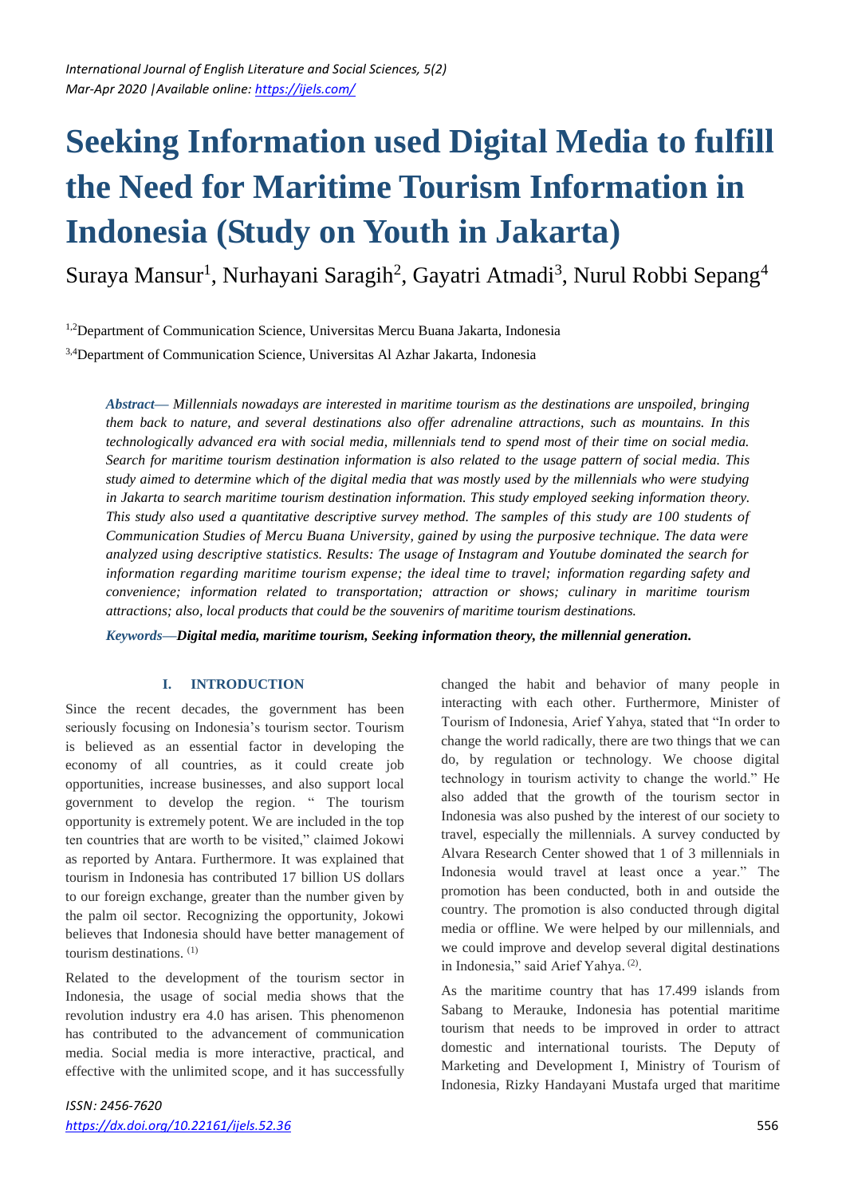# **Seeking Information used Digital Media to fulfill the Need for Maritime Tourism Information in Indonesia (Study on Youth in Jakarta)**

Suraya Mansur<sup>1</sup>, Nurhayani Saragih<sup>2</sup>, Gayatri Atmadi<sup>3</sup>, Nurul Robbi Sepang<sup>4</sup>

1,2Department of Communication Science, Universitas Mercu Buana Jakarta, Indonesia

3,4Department of Communication Science, Universitas Al Azhar Jakarta, Indonesia

*Abstract***—** *Millennials nowadays are interested in maritime tourism as the destinations are unspoiled, bringing them back to nature, and several destinations also offer adrenaline attractions, such as mountains. In this technologically advanced era with social media, millennials tend to spend most of their time on social media. Search for maritime tourism destination information is also related to the usage pattern of social media. This study aimed to determine which of the digital media that was mostly used by the millennials who were studying in Jakarta to search maritime tourism destination information. This study employed seeking information theory. This study also used a quantitative descriptive survey method. The samples of this study are 100 students of Communication Studies of Mercu Buana University, gained by using the purposive technique. The data were analyzed using descriptive statistics. Results: The usage of Instagram and Youtube dominated the search for information regarding maritime tourism expense; the ideal time to travel; information regarding safety and convenience; information related to transportation; attraction or shows; culinary in maritime tourism attractions; also, local products that could be the souvenirs of maritime tourism destinations.*

*Keywords***—***Digital media, maritime tourism, Seeking information theory, the millennial generation.*

#### **I. INTRODUCTION**

Since the recent decades, the government has been seriously focusing on Indonesia's tourism sector. Tourism is believed as an essential factor in developing the economy of all countries, as it could create job opportunities, increase businesses, and also support local government to develop the region. " The tourism opportunity is extremely potent. We are included in the top ten countries that are worth to be visited," claimed Jokowi as reported by Antara. Furthermore. It was explained that tourism in Indonesia has contributed 17 billion US dollars to our foreign exchange, greater than the number given by the palm oil sector. Recognizing the opportunity, Jokowi believes that Indonesia should have better management of tourism destinations. (1)

Related to the development of the tourism sector in Indonesia, the usage of social media shows that the revolution industry era 4.0 has arisen. This phenomenon has contributed to the advancement of communication media. Social media is more interactive, practical, and effective with the unlimited scope, and it has successfully changed the habit and behavior of many people in interacting with each other. Furthermore, Minister of Tourism of Indonesia, Arief Yahya, stated that "In order to change the world radically, there are two things that we can do, by regulation or technology. We choose digital technology in tourism activity to change the world." He also added that the growth of the tourism sector in Indonesia was also pushed by the interest of our society to travel, especially the millennials. A survey conducted by Alvara Research Center showed that 1 of 3 millennials in Indonesia would travel at least once a year." The promotion has been conducted, both in and outside the country. The promotion is also conducted through digital media or offline. We were helped by our millennials, and we could improve and develop several digital destinations in Indonesia," said Arief Yahya.<sup>(2)</sup>.

As the maritime country that has 17.499 islands from Sabang to Merauke, Indonesia has potential maritime tourism that needs to be improved in order to attract domestic and international tourists. The Deputy of Marketing and Development I, Ministry of Tourism of Indonesia, Rizky Handayani Mustafa urged that maritime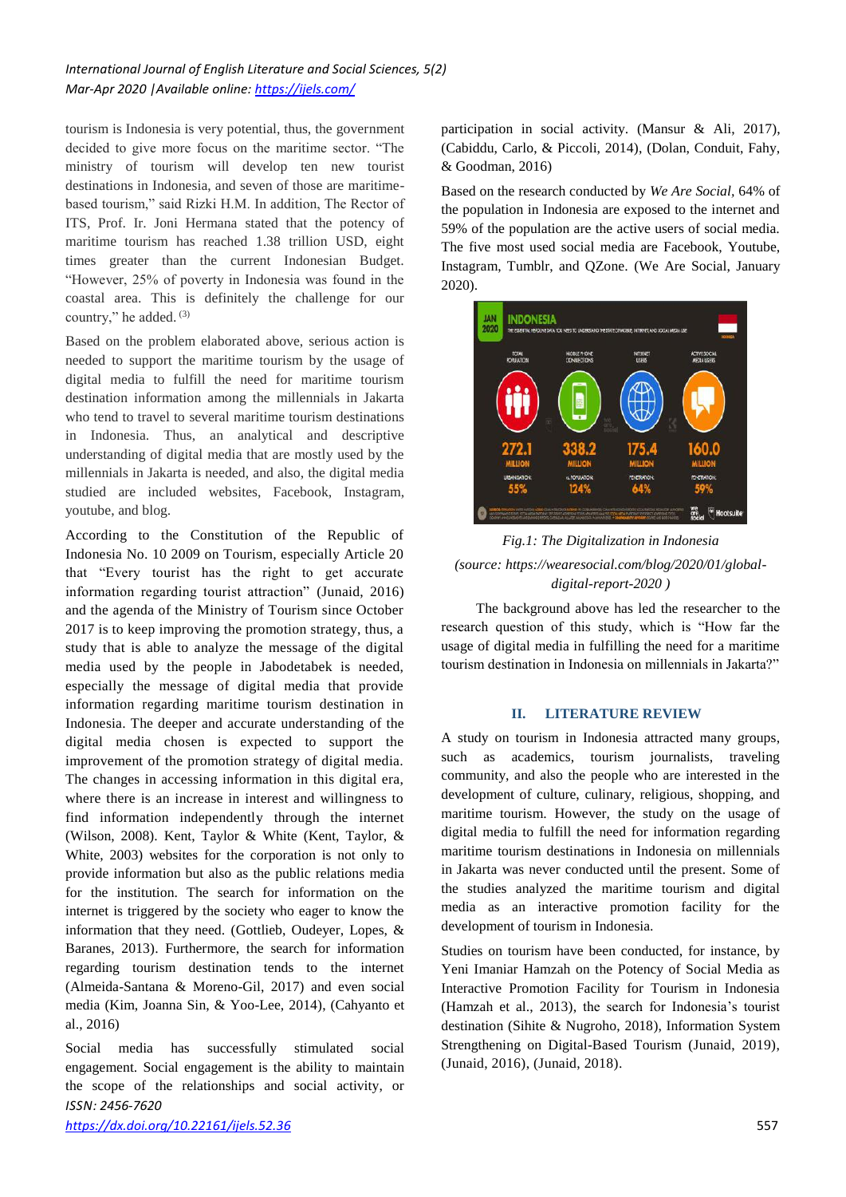tourism is Indonesia is very potential, thus, the government decided to give more focus on the maritime sector. "The ministry of tourism will develop ten new tourist destinations in Indonesia, and seven of those are maritimebased tourism," said Rizki H.M. In addition, The Rector of ITS, Prof. Ir. Joni Hermana stated that the potency of maritime tourism has reached 1.38 trillion USD, eight times greater than the current Indonesian Budget. "However, 25% of poverty in Indonesia was found in the coastal area. This is definitely the challenge for our country," he added. (3)

Based on the problem elaborated above, serious action is needed to support the maritime tourism by the usage of digital media to fulfill the need for maritime tourism destination information among the millennials in Jakarta who tend to travel to several maritime tourism destinations in Indonesia. Thus, an analytical and descriptive understanding of digital media that are mostly used by the millennials in Jakarta is needed, and also, the digital media studied are included websites, Facebook, Instagram, youtube, and blog.

According to the Constitution of the Republic of Indonesia No. 10 2009 on Tourism, especially Article 20 that "Every tourist has the right to get accurate information regarding tourist attraction" (Junaid, 2016) and the agenda of the Ministry of Tourism since October 2017 is to keep improving the promotion strategy, thus, a study that is able to analyze the message of the digital media used by the people in Jabodetabek is needed, especially the message of digital media that provide information regarding maritime tourism destination in Indonesia. The deeper and accurate understanding of the digital media chosen is expected to support the improvement of the promotion strategy of digital media. The changes in accessing information in this digital era, where there is an increase in interest and willingness to find information independently through the internet (Wilson, 2008). Kent, Taylor & White (Kent, Taylor, & White, 2003) websites for the corporation is not only to provide information but also as the public relations media for the institution. The search for information on the internet is triggered by the society who eager to know the information that they need. (Gottlieb, Oudeyer, Lopes, & Baranes, 2013). Furthermore, the search for information regarding tourism destination tends to the internet (Almeida-Santana & Moreno-Gil, 2017) and even social media (Kim, Joanna Sin, & Yoo-Lee, 2014), (Cahyanto et al., 2016)

*ISSN: 2456-7620* Social media has successfully stimulated social engagement. Social engagement is the ability to maintain the scope of the relationships and social activity, or

*<https://dx.doi.org/10.22161/ijels.52.36>*557

participation in social activity. (Mansur & Ali, 2017), (Cabiddu, Carlo, & Piccoli, 2014), (Dolan, Conduit, Fahy, & Goodman, 2016)

Based on the research conducted by *We Are Social,* 64% of the population in Indonesia are exposed to the internet and 59% of the population are the active users of social media. The five most used social media are Facebook, Youtube, Instagram, Tumblr, and QZone. (We Are Social, January 2020).



*Fig.1: The Digitalization in Indonesia (source: https://wearesocial.com/blog/2020/01/globaldigital-report-2020 )*

The background above has led the researcher to the research question of this study, which is "How far the usage of digital media in fulfilling the need for a maritime tourism destination in Indonesia on millennials in Jakarta?"

#### **II. LITERATURE REVIEW**

A study on tourism in Indonesia attracted many groups, such as academics, tourism journalists, traveling community, and also the people who are interested in the development of culture, culinary, religious, shopping, and maritime tourism. However, the study on the usage of digital media to fulfill the need for information regarding maritime tourism destinations in Indonesia on millennials in Jakarta was never conducted until the present. Some of the studies analyzed the maritime tourism and digital media as an interactive promotion facility for the development of tourism in Indonesia.

Studies on tourism have been conducted, for instance, by Yeni Imaniar Hamzah on the Potency of Social Media as Interactive Promotion Facility for Tourism in Indonesia (Hamzah et al., 2013), the search for Indonesia's tourist destination (Sihite & Nugroho, 2018), Information System Strengthening on Digital-Based Tourism (Junaid, 2019), (Junaid, 2016), (Junaid, 2018).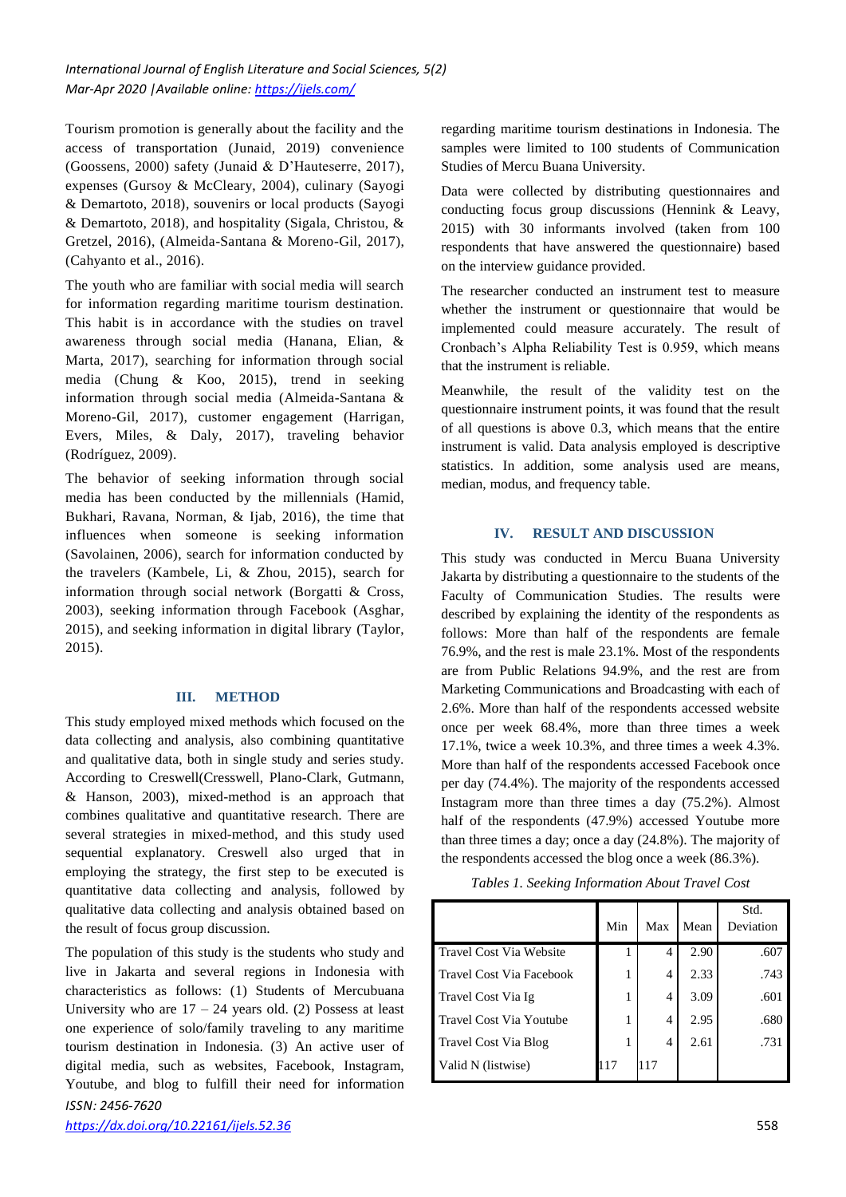Tourism promotion is generally about the facility and the access of transportation (Junaid, 2019) convenience (Goossens, 2000) safety (Junaid & D'Hauteserre, 2017), expenses (Gursoy & McCleary, 2004), culinary (Sayogi & Demartoto, 2018), souvenirs or local products (Sayogi & Demartoto, 2018), and hospitality (Sigala, Christou, & Gretzel, 2016), (Almeida-Santana & Moreno-Gil, 2017), (Cahyanto et al., 2016).

The youth who are familiar with social media will search for information regarding maritime tourism destination. This habit is in accordance with the studies on travel awareness through social media (Hanana, Elian, & Marta, 2017), searching for information through social media (Chung & Koo, 2015), trend in seeking information through social media (Almeida-Santana & Moreno-Gil, 2017), customer engagement (Harrigan, Evers, Miles, & Daly, 2017), traveling behavior (Rodríguez, 2009).

The behavior of seeking information through social media has been conducted by the millennials (Hamid, Bukhari, Ravana, Norman, & Ijab, 2016), the time that influences when someone is seeking information (Savolainen, 2006), search for information conducted by the travelers (Kambele, Li, & Zhou, 2015), search for information through social network (Borgatti & Cross, 2003), seeking information through Facebook (Asghar, 2015), and seeking information in digital library (Taylor, 2015).

#### **III. METHOD**

This study employed mixed methods which focused on the data collecting and analysis, also combining quantitative and qualitative data, both in single study and series study. According to Creswell(Cresswell, Plano-Clark, Gutmann, & Hanson, 2003), mixed-method is an approach that combines qualitative and quantitative research. There are several strategies in mixed-method, and this study used sequential explanatory. Creswell also urged that in employing the strategy, the first step to be executed is quantitative data collecting and analysis, followed by qualitative data collecting and analysis obtained based on the result of focus group discussion.

*ISSN: 2456-7620* The population of this study is the students who study and live in Jakarta and several regions in Indonesia with characteristics as follows: (1) Students of Mercubuana University who are  $17 - 24$  years old. (2) Possess at least one experience of solo/family traveling to any maritime tourism destination in Indonesia. (3) An active user of digital media, such as websites, Facebook, Instagram, Youtube, and blog to fulfill their need for information

regarding maritime tourism destinations in Indonesia. The samples were limited to 100 students of Communication Studies of Mercu Buana University.

Data were collected by distributing questionnaires and conducting focus group discussions (Hennink & Leavy, 2015) with 30 informants involved (taken from 100 respondents that have answered the questionnaire) based on the interview guidance provided.

The researcher conducted an instrument test to measure whether the instrument or questionnaire that would be implemented could measure accurately. The result of Cronbach's Alpha Reliability Test is 0.959, which means that the instrument is reliable.

Meanwhile, the result of the validity test on the questionnaire instrument points, it was found that the result of all questions is above 0.3, which means that the entire instrument is valid. Data analysis employed is descriptive statistics. In addition, some analysis used are means, median, modus, and frequency table.

#### **IV. RESULT AND DISCUSSION**

This study was conducted in Mercu Buana University Jakarta by distributing a questionnaire to the students of the Faculty of Communication Studies. The results were described by explaining the identity of the respondents as follows: More than half of the respondents are female 76.9%, and the rest is male 23.1%. Most of the respondents are from Public Relations 94.9%, and the rest are from Marketing Communications and Broadcasting with each of 2.6%. More than half of the respondents accessed website once per week 68.4%, more than three times a week 17.1%, twice a week 10.3%, and three times a week 4.3%. More than half of the respondents accessed Facebook once per day (74.4%). The majority of the respondents accessed Instagram more than three times a day (75.2%). Almost half of the respondents (47.9%) accessed Youtube more than three times a day; once a day (24.8%). The majority of the respondents accessed the blog once a week (86.3%).

*Tables 1. Seeking Information About Travel Cost*

|                                 |     |     |      | Std.      |
|---------------------------------|-----|-----|------|-----------|
|                                 | Min | Max | Mean | Deviation |
| <b>Travel Cost Via Website</b>  |     | 4   | 2.90 | .607      |
| <b>Travel Cost Via Facebook</b> | 1   | 4   | 2.33 | .743      |
| Travel Cost Via Ig              |     | 4   | 3.09 | .601      |
| Travel Cost Via Youtube         |     | 4   | 2.95 | .680      |
| Travel Cost Via Blog            |     | 4   | 2.61 | .731      |
| Valid N (listwise)              | 117 | 117 |      |           |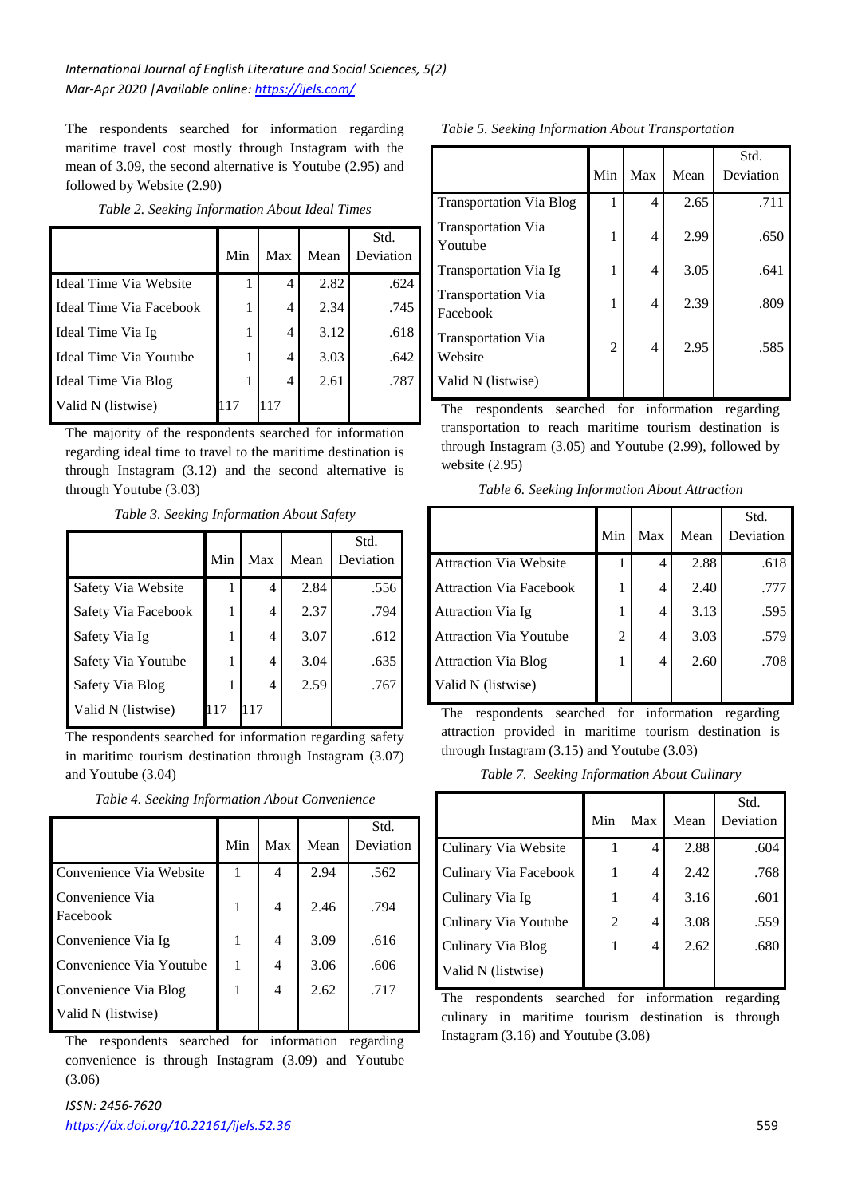The respondents searched for information regarding maritime travel cost mostly through Instagram with the mean of 3.09, the second alternative is Youtube (2.95) and followed by Website (2.90)

|                         | Min | Max | Mean | Std.<br>Deviation |  |
|-------------------------|-----|-----|------|-------------------|--|
| Ideal Time Via Website  |     | 4   | 2.82 | .624              |  |
| Ideal Time Via Facebook | 1   | 4   | 2.34 | .745              |  |
| Ideal Time Via Ig       | 1   | 4   | 3.12 | .618              |  |
| Ideal Time Via Youtube  | 1   | 4   | 3.03 | .642              |  |
| Ideal Time Via Blog     | 1   | 4   | 2.61 | .787              |  |
| Valid N (listwise)      |     |     |      |                   |  |

*Table 2. Seeking Information About Ideal Times*

The majority of the respondents searched for information regarding ideal time to travel to the maritime destination is through Instagram (3.12) and the second alternative is through Youtube (3.03)

*Table 3. Seeking Information About Safety*

|                     | Min | Max | Mean | Std.<br>Deviation |
|---------------------|-----|-----|------|-------------------|
| Safety Via Website  |     | 4   | 2.84 | .556              |
| Safety Via Facebook |     | 4   | 2.37 | .794              |
| Safety Via Ig       |     | 4   | 3.07 | .612              |
| Safety Via Youtube  | 1   | 4   | 3.04 | .635              |
| Safety Via Blog     |     | 4   | 2.59 | .767              |
| Valid N (listwise)  | 117 | 117 |      |                   |

The respondents searched for information regarding safety in maritime tourism destination through Instagram (3.07) and Youtube (3.04)

*Table 4. Seeking Information About Convenience*

|                             | Min | Max | Mean | Std.<br>Deviation |
|-----------------------------|-----|-----|------|-------------------|
| Convenience Via Website     | 1   | 4   | 2.94 | .562              |
| Convenience Via<br>Facebook | 1   | 4   | 2.46 | .794              |
| Convenience Via Ig          | 1   | 4   | 3.09 | .616              |
| Convenience Via Youtube     | 1   | 4   | 3.06 | .606              |
| Convenience Via Blog        | 1   | 4   | 2.62 | .717              |
| Valid N (listwise)          |     |     |      |                   |

The respondents searched for information regarding convenience is through Instagram (3.09) and Youtube (3.06)

|                                       | Min | Max | Mean | Std.<br>Deviation |
|---------------------------------------|-----|-----|------|-------------------|
| <b>Transportation Via Blog</b>        | 1   | 4   | 2.65 | .711              |
| <b>Transportation Via</b><br>Youtube  | 1   | 4   | 2.99 | .650              |
| <b>Transportation Via Ig</b>          | 1   | 4   | 3.05 | .641              |
| <b>Transportation Via</b><br>Facebook | 1   | 4   | 2.39 | .809              |
| <b>Transportation Via</b><br>Website  | 2   | 4   | 2.95 | .585              |
| Valid N (listwise)                    |     |     |      |                   |

The respondents searched for information regarding transportation to reach maritime tourism destination is through Instagram (3.05) and Youtube (2.99), followed by website (2.95)

*Table 6. Seeking Information About Attraction*

|                                |     |     |      | Std.      |
|--------------------------------|-----|-----|------|-----------|
|                                | Min | Max | Mean | Deviation |
| <b>Attraction Via Website</b>  | 1   | 4   | 2.88 | .618      |
| <b>Attraction Via Facebook</b> | 1   | 4   | 2.40 | .777      |
| Attraction Via Ig              |     | 4   | 3.13 | .595      |
| <b>Attraction Via Youtube</b>  | 2   | 4   | 3.03 | .579      |
| <b>Attraction Via Blog</b>     | 1   | 4   | 2.60 | .708      |
| Valid N (listwise)             |     |     |      |           |
|                                |     |     |      |           |

The respondents searched for information regarding attraction provided in maritime tourism destination is through Instagram (3.15) and Youtube (3.03)

|  |  | Table 7. Seeking Information About Culinary |  |  |
|--|--|---------------------------------------------|--|--|
|--|--|---------------------------------------------|--|--|

|                       | Min | Max | Mean | Std.<br>Deviation |
|-----------------------|-----|-----|------|-------------------|
| Culinary Via Website  | 1   | 4   | 2.88 | .604              |
| Culinary Via Facebook | 1   | 4   | 2.42 | .768              |
| Culinary Via Ig       | 1   | 4   | 3.16 | .601              |
| Culinary Via Youtube  | 2   | 4   | 3.08 | .559              |
| Culinary Via Blog     | 1   | 4   | 2.62 | .680              |
| Valid N (listwise)    |     |     |      |                   |

The respondents searched for information regarding culinary in maritime tourism destination is through Instagram (3.16) and Youtube (3.08)

*Table 5. Seeking Information About Transportation*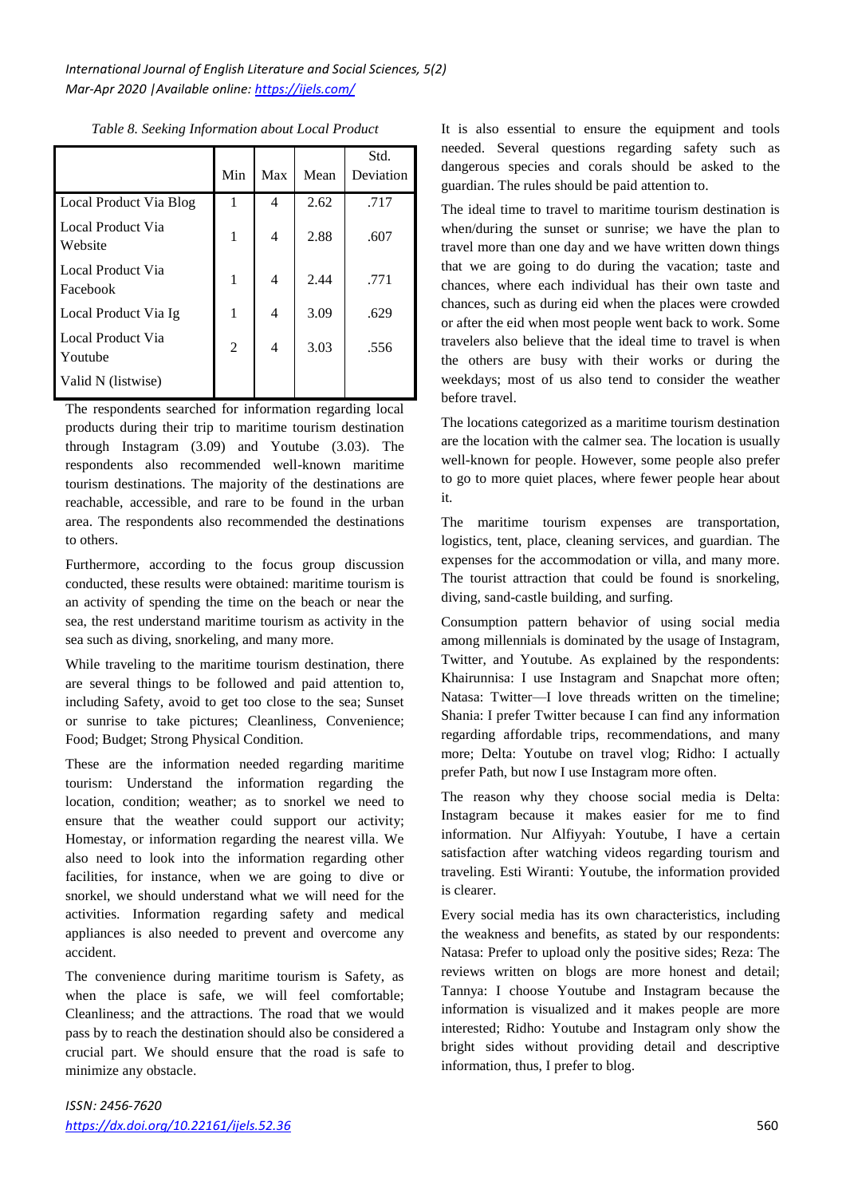|                               | Min            | Max | Mean | Std.<br>Deviation |
|-------------------------------|----------------|-----|------|-------------------|
| Local Product Via Blog        | 1              | 4   | 2.62 | .717              |
| Local Product Via<br>Website  | 1              | 4   | 2.88 | .607              |
| Local Product Via<br>Facebook | 1              | 4   | 2.44 | .771              |
| Local Product Via Ig          | 1              | 4   | 3.09 | .629              |
| Local Product Via<br>Youtube  | $\overline{2}$ | 4   | 3.03 | .556              |
| Valid N (listwise)            |                |     |      |                   |

*Table 8. Seeking Information about Local Product*

The respondents searched for information regarding local products during their trip to maritime tourism destination through Instagram (3.09) and Youtube (3.03). The respondents also recommended well-known maritime tourism destinations. The majority of the destinations are reachable, accessible, and rare to be found in the urban area. The respondents also recommended the destinations to others.

Furthermore, according to the focus group discussion conducted, these results were obtained: maritime tourism is an activity of spending the time on the beach or near the sea, the rest understand maritime tourism as activity in the sea such as diving, snorkeling, and many more.

While traveling to the maritime tourism destination, there are several things to be followed and paid attention to, including Safety, avoid to get too close to the sea; Sunset or sunrise to take pictures; Cleanliness, Convenience; Food; Budget; Strong Physical Condition.

These are the information needed regarding maritime tourism: Understand the information regarding the location, condition; weather; as to snorkel we need to ensure that the weather could support our activity; Homestay, or information regarding the nearest villa. We also need to look into the information regarding other facilities, for instance, when we are going to dive or snorkel, we should understand what we will need for the activities. Information regarding safety and medical appliances is also needed to prevent and overcome any accident.

The convenience during maritime tourism is Safety, as when the place is safe, we will feel comfortable; Cleanliness; and the attractions. The road that we would pass by to reach the destination should also be considered a crucial part. We should ensure that the road is safe to minimize any obstacle.

It is also essential to ensure the equipment and tools needed. Several questions regarding safety such as dangerous species and corals should be asked to the guardian. The rules should be paid attention to.

The ideal time to travel to maritime tourism destination is when/during the sunset or sunrise; we have the plan to travel more than one day and we have written down things that we are going to do during the vacation; taste and chances, where each individual has their own taste and chances, such as during eid when the places were crowded or after the eid when most people went back to work. Some travelers also believe that the ideal time to travel is when the others are busy with their works or during the weekdays; most of us also tend to consider the weather before travel.

The locations categorized as a maritime tourism destination are the location with the calmer sea. The location is usually well-known for people. However, some people also prefer to go to more quiet places, where fewer people hear about it.

The maritime tourism expenses are transportation, logistics, tent, place, cleaning services, and guardian. The expenses for the accommodation or villa, and many more. The tourist attraction that could be found is snorkeling, diving, sand-castle building, and surfing.

Consumption pattern behavior of using social media among millennials is dominated by the usage of Instagram, Twitter, and Youtube. As explained by the respondents: Khairunnisa: I use Instagram and Snapchat more often; Natasa: Twitter—I love threads written on the timeline; Shania: I prefer Twitter because I can find any information regarding affordable trips, recommendations, and many more; Delta: Youtube on travel vlog; Ridho: I actually prefer Path, but now I use Instagram more often.

The reason why they choose social media is Delta: Instagram because it makes easier for me to find information. Nur Alfiyyah: Youtube, I have a certain satisfaction after watching videos regarding tourism and traveling. Esti Wiranti: Youtube, the information provided is clearer.

Every social media has its own characteristics, including the weakness and benefits, as stated by our respondents: Natasa: Prefer to upload only the positive sides; Reza: The reviews written on blogs are more honest and detail; Tannya: I choose Youtube and Instagram because the information is visualized and it makes people are more interested; Ridho: Youtube and Instagram only show the bright sides without providing detail and descriptive information, thus, I prefer to blog.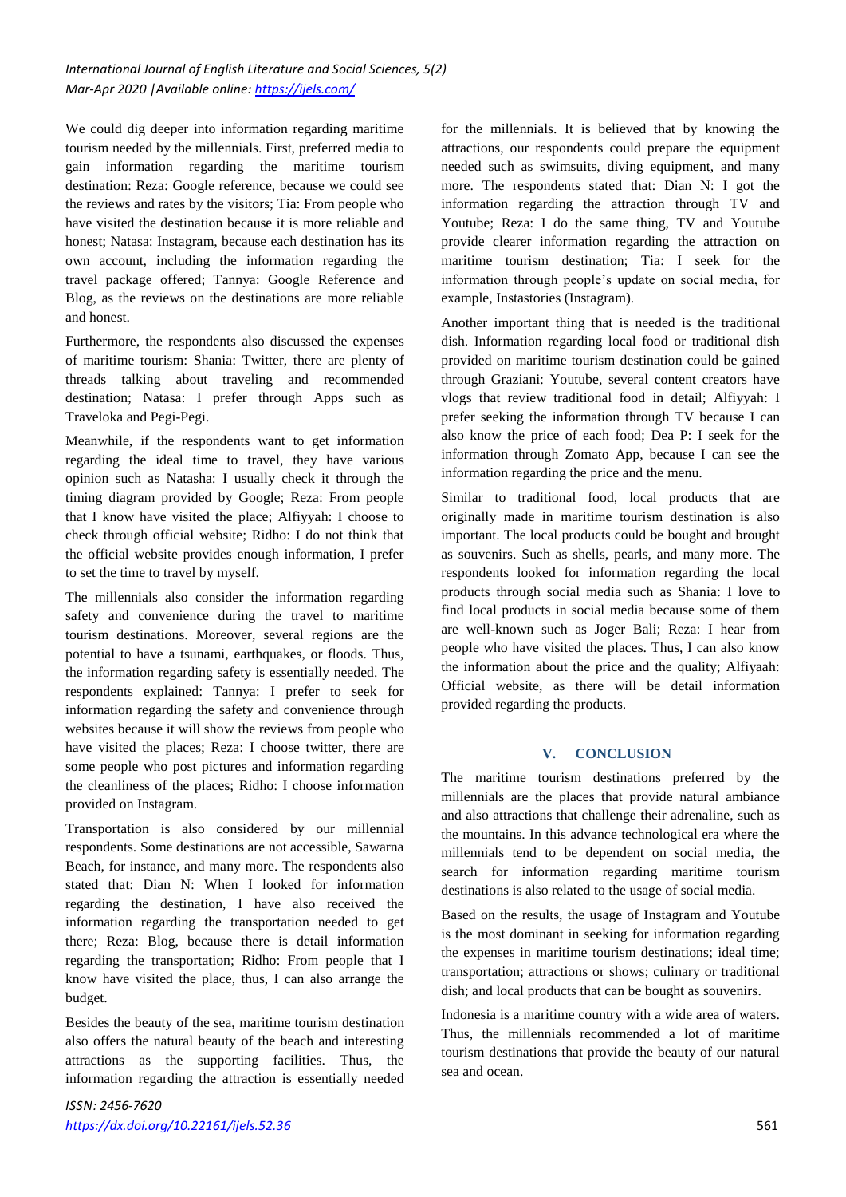We could dig deeper into information regarding maritime tourism needed by the millennials. First, preferred media to gain information regarding the maritime tourism destination: Reza: Google reference, because we could see the reviews and rates by the visitors; Tia: From people who have visited the destination because it is more reliable and honest; Natasa: Instagram, because each destination has its own account, including the information regarding the travel package offered; Tannya: Google Reference and Blog, as the reviews on the destinations are more reliable and honest.

Furthermore, the respondents also discussed the expenses of maritime tourism: Shania: Twitter, there are plenty of threads talking about traveling and recommended destination; Natasa: I prefer through Apps such as Traveloka and Pegi-Pegi.

Meanwhile, if the respondents want to get information regarding the ideal time to travel, they have various opinion such as Natasha: I usually check it through the timing diagram provided by Google; Reza: From people that I know have visited the place; Alfiyyah: I choose to check through official website; Ridho: I do not think that the official website provides enough information, I prefer to set the time to travel by myself.

The millennials also consider the information regarding safety and convenience during the travel to maritime tourism destinations. Moreover, several regions are the potential to have a tsunami, earthquakes, or floods. Thus, the information regarding safety is essentially needed. The respondents explained: Tannya: I prefer to seek for information regarding the safety and convenience through websites because it will show the reviews from people who have visited the places; Reza: I choose twitter, there are some people who post pictures and information regarding the cleanliness of the places; Ridho: I choose information provided on Instagram.

Transportation is also considered by our millennial respondents. Some destinations are not accessible, Sawarna Beach, for instance, and many more. The respondents also stated that: Dian N: When I looked for information regarding the destination, I have also received the information regarding the transportation needed to get there; Reza: Blog, because there is detail information regarding the transportation; Ridho: From people that I know have visited the place, thus, I can also arrange the budget.

Besides the beauty of the sea, maritime tourism destination also offers the natural beauty of the beach and interesting attractions as the supporting facilities. Thus, the information regarding the attraction is essentially needed for the millennials. It is believed that by knowing the attractions, our respondents could prepare the equipment needed such as swimsuits, diving equipment, and many more. The respondents stated that: Dian N: I got the information regarding the attraction through TV and Youtube; Reza: I do the same thing, TV and Youtube provide clearer information regarding the attraction on maritime tourism destination; Tia: I seek for the information through people's update on social media, for example, Instastories (Instagram).

Another important thing that is needed is the traditional dish. Information regarding local food or traditional dish provided on maritime tourism destination could be gained through Graziani: Youtube, several content creators have vlogs that review traditional food in detail; Alfiyyah: I prefer seeking the information through TV because I can also know the price of each food; Dea P: I seek for the information through Zomato App, because I can see the information regarding the price and the menu.

Similar to traditional food, local products that are originally made in maritime tourism destination is also important. The local products could be bought and brought as souvenirs. Such as shells, pearls, and many more. The respondents looked for information regarding the local products through social media such as Shania: I love to find local products in social media because some of them are well-known such as Joger Bali; Reza: I hear from people who have visited the places. Thus, I can also know the information about the price and the quality; Alfiyaah: Official website, as there will be detail information provided regarding the products.

#### **V. CONCLUSION**

The maritime tourism destinations preferred by the millennials are the places that provide natural ambiance and also attractions that challenge their adrenaline, such as the mountains. In this advance technological era where the millennials tend to be dependent on social media, the search for information regarding maritime tourism destinations is also related to the usage of social media.

Based on the results, the usage of Instagram and Youtube is the most dominant in seeking for information regarding the expenses in maritime tourism destinations; ideal time; transportation; attractions or shows; culinary or traditional dish; and local products that can be bought as souvenirs.

Indonesia is a maritime country with a wide area of waters. Thus, the millennials recommended a lot of maritime tourism destinations that provide the beauty of our natural sea and ocean.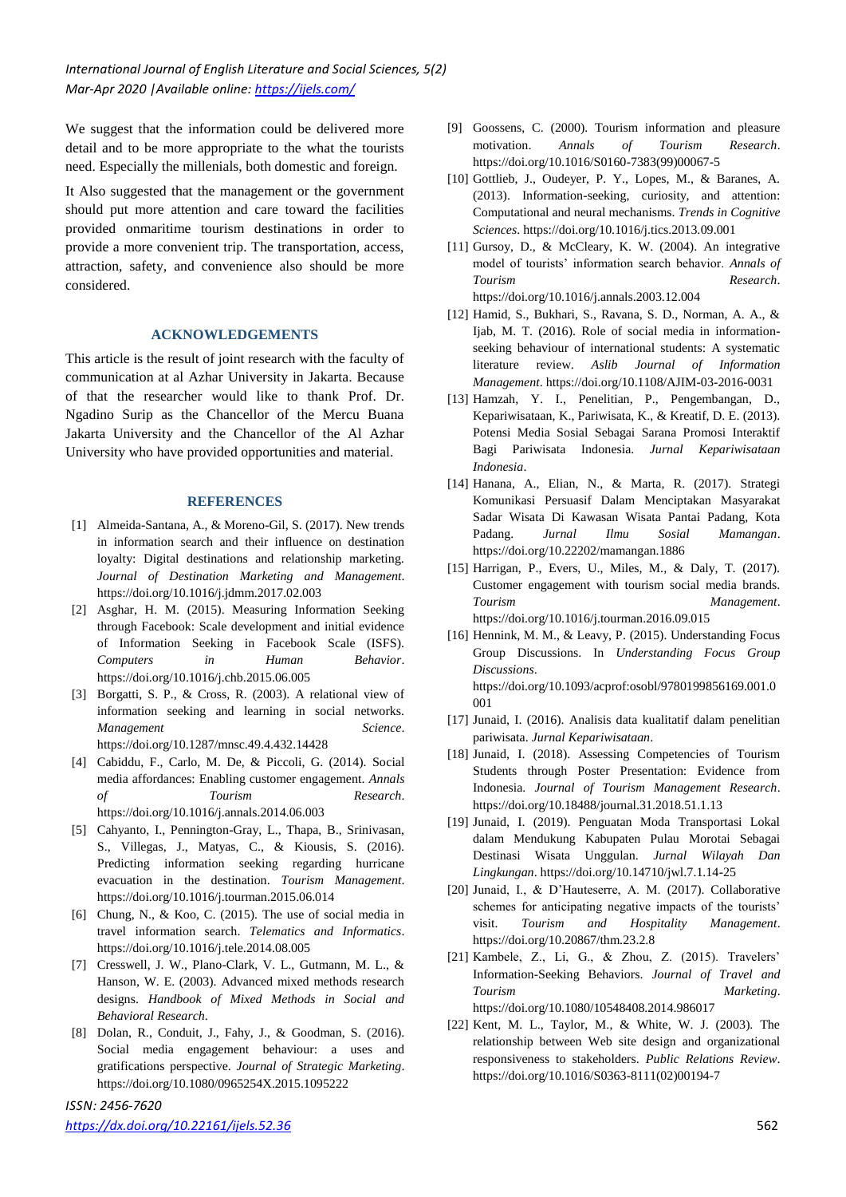We suggest that the information could be delivered more detail and to be more appropriate to the what the tourists need. Especially the millenials, both domestic and foreign.

It Also suggested that the management or the government should put more attention and care toward the facilities provided onmaritime tourism destinations in order to provide a more convenient trip. The transportation, access, attraction, safety, and convenience also should be more considered.

#### **ACKNOWLEDGEMENTS**

This article is the result of joint research with the faculty of communication at al Azhar University in Jakarta. Because of that the researcher would like to thank Prof. Dr. Ngadino Surip as the Chancellor of the Mercu Buana Jakarta University and the Chancellor of the Al Azhar University who have provided opportunities and material.

#### **REFERENCES**

- [1] Almeida-Santana, A., & Moreno-Gil, S. (2017). New trends in information search and their influence on destination loyalty: Digital destinations and relationship marketing. *Journal of Destination Marketing and Management*. https://doi.org/10.1016/j.jdmm.2017.02.003
- [2] Asghar, H. M. (2015). Measuring Information Seeking through Facebook: Scale development and initial evidence of Information Seeking in Facebook Scale (ISFS). *Computers in Human Behavior*. https://doi.org/10.1016/j.chb.2015.06.005
- [3] Borgatti, S. P., & Cross, R. (2003). A relational view of information seeking and learning in social networks. *Management Science*. https://doi.org/10.1287/mnsc.49.4.432.14428
- [4] Cabiddu, F., Carlo, M. De, & Piccoli, G. (2014). Social media affordances: Enabling customer engagement. *Annals of Tourism Research*. https://doi.org/10.1016/j.annals.2014.06.003
- [5] Cahyanto, I., Pennington-Gray, L., Thapa, B., Srinivasan, S., Villegas, J., Matyas, C., & Kiousis, S. (2016). Predicting information seeking regarding hurricane evacuation in the destination. *Tourism Management*. https://doi.org/10.1016/j.tourman.2015.06.014
- [6] Chung, N., & Koo, C. (2015). The use of social media in travel information search. *Telematics and Informatics*. https://doi.org/10.1016/j.tele.2014.08.005
- [7] Cresswell, J. W., Plano-Clark, V. L., Gutmann, M. L., & Hanson, W. E. (2003). Advanced mixed methods research designs. *Handbook of Mixed Methods in Social and Behavioral Research*.
- [8] Dolan, R., Conduit, J., Fahy, J., & Goodman, S. (2016). Social media engagement behaviour: a uses and gratifications perspective. *Journal of Strategic Marketing*. https://doi.org/10.1080/0965254X.2015.1095222

# *ISSN: 2456-7620*

- [9] Goossens, C. (2000). Tourism information and pleasure motivation. *Annals of Tourism Research*. https://doi.org/10.1016/S0160-7383(99)00067-5
- [10] Gottlieb, J., Oudeyer, P. Y., Lopes, M., & Baranes, A. (2013). Information-seeking, curiosity, and attention: Computational and neural mechanisms. *Trends in Cognitive Sciences*. https://doi.org/10.1016/j.tics.2013.09.001
- [11] Gursoy, D., & McCleary, K. W. (2004). An integrative model of tourists' information search behavior. *Annals of Tourism Research*. https://doi.org/10.1016/j.annals.2003.12.004
- [12] Hamid, S., Bukhari, S., Ravana, S. D., Norman, A. A., & Ijab, M. T. (2016). Role of social media in informationseeking behaviour of international students: A systematic literature review. *Aslib Journal of Information Management*. https://doi.org/10.1108/AJIM-03-2016-0031
- [13] Hamzah, Y. I., Penelitian, P., Pengembangan, D., Kepariwisataan, K., Pariwisata, K., & Kreatif, D. E. (2013). Potensi Media Sosial Sebagai Sarana Promosi Interaktif Bagi Pariwisata Indonesia. *Jurnal Kepariwisataan Indonesia*.
- [14] Hanana, A., Elian, N., & Marta, R. (2017). Strategi Komunikasi Persuasif Dalam Menciptakan Masyarakat Sadar Wisata Di Kawasan Wisata Pantai Padang, Kota Padang. *Jurnal Ilmu Sosial Mamangan*. https://doi.org/10.22202/mamangan.1886
- [15] Harrigan, P., Evers, U., Miles, M., & Daly, T. (2017). Customer engagement with tourism social media brands. *Tourism Management*. https://doi.org/10.1016/j.tourman.2016.09.015
- [16] Hennink, M. M., & Leavy, P. (2015). Understanding Focus Group Discussions. In *Understanding Focus Group Discussions*. https://doi.org/10.1093/acprof:osobl/9780199856169.001.0 001
- [17] Junaid, I. (2016). Analisis data kualitatif dalam penelitian pariwisata. *Jurnal Kepariwisataan*.
- [18] Junaid, I. (2018). Assessing Competencies of Tourism Students through Poster Presentation: Evidence from Indonesia. *Journal of Tourism Management Research*. https://doi.org/10.18488/journal.31.2018.51.1.13
- [19] Junaid, I. (2019). Penguatan Moda Transportasi Lokal dalam Mendukung Kabupaten Pulau Morotai Sebagai Destinasi Wisata Unggulan. *Jurnal Wilayah Dan Lingkungan*. https://doi.org/10.14710/jwl.7.1.14-25
- [20] Junaid, I., & D'Hauteserre, A. M. (2017). Collaborative schemes for anticipating negative impacts of the tourists' visit. *Tourism and Hospitality Management*. https://doi.org/10.20867/thm.23.2.8
- [21] Kambele, Z., Li, G., & Zhou, Z. (2015). Travelers' Information-Seeking Behaviors. *Journal of Travel and Tourism Marketing*. https://doi.org/10.1080/10548408.2014.986017
- [22] Kent, M. L., Taylor, M., & White, W. J. (2003). The relationship between Web site design and organizational responsiveness to stakeholders. *Public Relations Review*. https://doi.org/10.1016/S0363-8111(02)00194-7